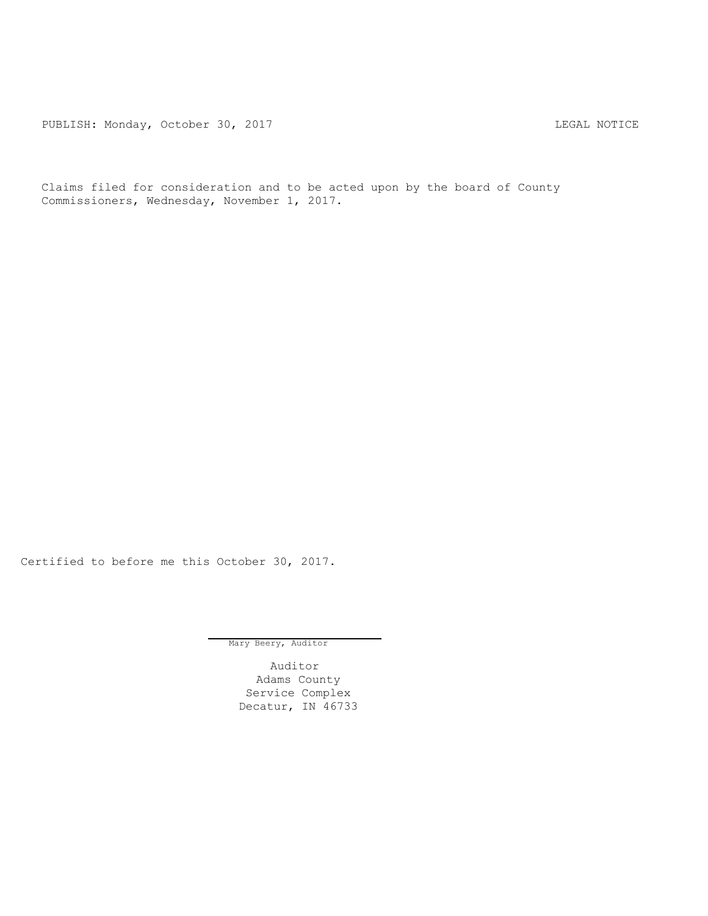PUBLISH: Monday, October 30, 2017 CHANGER CONSERVATION CONTRACT MOTICE

Claims filed for consideration and to be acted upon by the board of County Commissioners, Wednesday, November 1, 2017.

Certified to before me this October 30, 2017.

Mary Beery, Auditor

Auditor Adams County Service Complex Decatur, IN 46733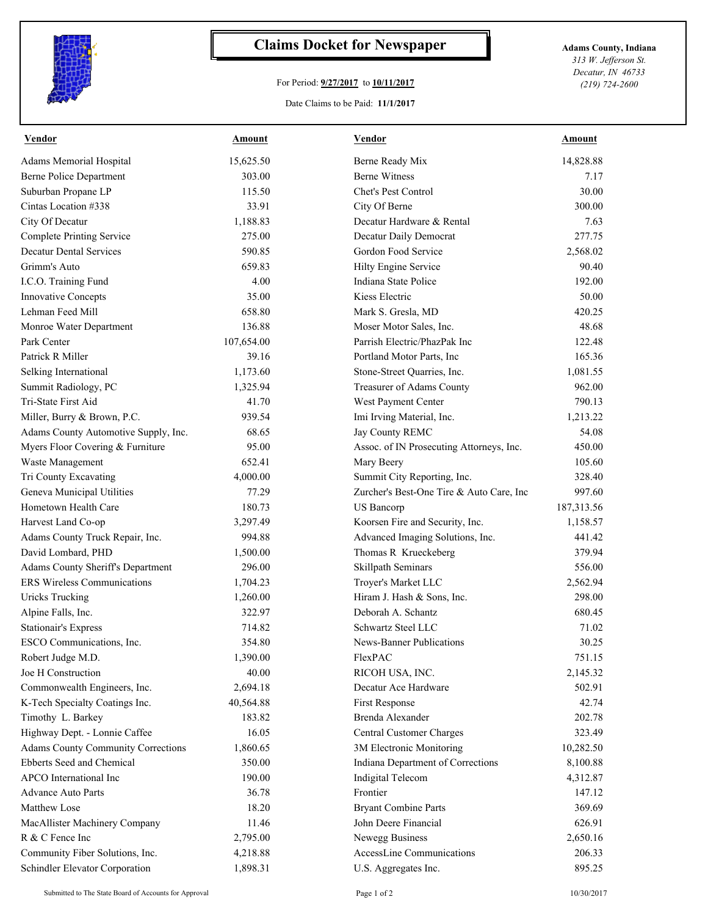

## **Claims Docket for Newspaper Adams County, Indiana**

## For Period: **9/27/2017** to **10/11/2017**

*313 W. Jefferson St. Decatur, IN 46733 (219) 724-2600*

## Date Claims to be Paid: **11/1/2017**

| Vendor                                    | Amount     | Vendor                                   | Amount     |
|-------------------------------------------|------------|------------------------------------------|------------|
| Adams Memorial Hospital                   | 15,625.50  | Berne Ready Mix                          | 14,828.88  |
| <b>Berne Police Department</b>            | 303.00     | <b>Berne Witness</b>                     | 7.17       |
| Suburban Propane LP                       | 115.50     | Chet's Pest Control                      | 30.00      |
| Cintas Location #338                      | 33.91      | City Of Berne                            | 300.00     |
| City Of Decatur                           | 1,188.83   | Decatur Hardware & Rental                | 7.63       |
| <b>Complete Printing Service</b>          | 275.00     | Decatur Daily Democrat                   | 277.75     |
| <b>Decatur Dental Services</b>            | 590.85     | Gordon Food Service                      | 2,568.02   |
| Grimm's Auto                              | 659.83     | Hilty Engine Service                     | 90.40      |
| I.C.O. Training Fund                      | 4.00       | Indiana State Police                     | 192.00     |
| Innovative Concepts                       | 35.00      | Kiess Electric                           | 50.00      |
| Lehman Feed Mill                          | 658.80     | Mark S. Gresla, MD                       | 420.25     |
| Monroe Water Department                   | 136.88     | Moser Motor Sales, Inc.                  | 48.68      |
| Park Center                               | 107,654.00 | Parrish Electric/PhazPak Inc             | 122.48     |
| Patrick R Miller                          | 39.16      | Portland Motor Parts, Inc.               | 165.36     |
| Selking International                     | 1,173.60   | Stone-Street Quarries, Inc.              | 1,081.55   |
| Summit Radiology, PC                      | 1,325.94   | Treasurer of Adams County                | 962.00     |
| Tri-State First Aid                       | 41.70      | West Payment Center                      | 790.13     |
| Miller, Burry & Brown, P.C.               | 939.54     | Imi Irving Material, Inc.                | 1,213.22   |
| Adams County Automotive Supply, Inc.      | 68.65      | Jay County REMC                          | 54.08      |
| Myers Floor Covering & Furniture          | 95.00      | Assoc. of IN Prosecuting Attorneys, Inc. | 450.00     |
| Waste Management                          | 652.41     | Mary Beery                               | 105.60     |
| Tri County Excavating                     | 4,000.00   | Summit City Reporting, Inc.              | 328.40     |
| Geneva Municipal Utilities                | 77.29      | Zurcher's Best-One Tire & Auto Care, Inc | 997.60     |
| Hometown Health Care                      | 180.73     | <b>US</b> Bancorp                        | 187,313.56 |
| Harvest Land Co-op                        | 3,297.49   | Koorsen Fire and Security, Inc.          | 1,158.57   |
| Adams County Truck Repair, Inc.           | 994.88     | Advanced Imaging Solutions, Inc.         | 441.42     |
| David Lombard, PHD                        | 1,500.00   | Thomas R Krueckeberg                     | 379.94     |
| Adams County Sheriff's Department         | 296.00     | Skillpath Seminars                       | 556.00     |
| <b>ERS</b> Wireless Communications        | 1,704.23   | Troyer's Market LLC                      | 2,562.94   |
| <b>Uricks Trucking</b>                    | 1,260.00   | Hiram J. Hash & Sons, Inc.               | 298.00     |
| Alpine Falls, Inc.                        | 322.97     | Deborah A. Schantz                       | 680.45     |
| <b>Stationair's Express</b>               | 714.82     | Schwartz Steel LLC                       | 71.02      |
| ESCO Communications, Inc.                 | 354.80     | News-Banner Publications                 | 30.25      |
| Robert Judge M.D.                         | 1,390.00   | FlexPAC                                  | 751.15     |
| Joe H Construction                        | 40.00      | RICOH USA, INC.                          | 2,145.32   |
| Commonwealth Engineers, Inc.              | 2,694.18   | Decatur Ace Hardware                     | 502.91     |
| K-Tech Specialty Coatings Inc.            | 40,564.88  | First Response                           | 42.74      |
| Timothy L. Barkey                         | 183.82     | Brenda Alexander                         | 202.78     |
| Highway Dept. - Lonnie Caffee             | 16.05      | Central Customer Charges                 | 323.49     |
| <b>Adams County Community Corrections</b> | 1,860.65   | 3M Electronic Monitoring                 | 10,282.50  |
| Ebberts Seed and Chemical                 | 350.00     | Indiana Department of Corrections        | 8,100.88   |
| APCO International Inc                    | 190.00     | Indigital Telecom                        | 4,312.87   |
| <b>Advance Auto Parts</b>                 | 36.78      | Frontier                                 | 147.12     |
| Matthew Lose                              | 18.20      | <b>Bryant Combine Parts</b>              | 369.69     |
| MacAllister Machinery Company             | 11.46      | John Deere Financial                     | 626.91     |
| R & C Fence Inc                           | 2,795.00   | Newegg Business                          | 2,650.16   |
| Community Fiber Solutions, Inc.           | 4,218.88   | AccessLine Communications                | 206.33     |
| Schindler Elevator Corporation            | 1,898.31   | U.S. Aggregates Inc.                     | 895.25     |